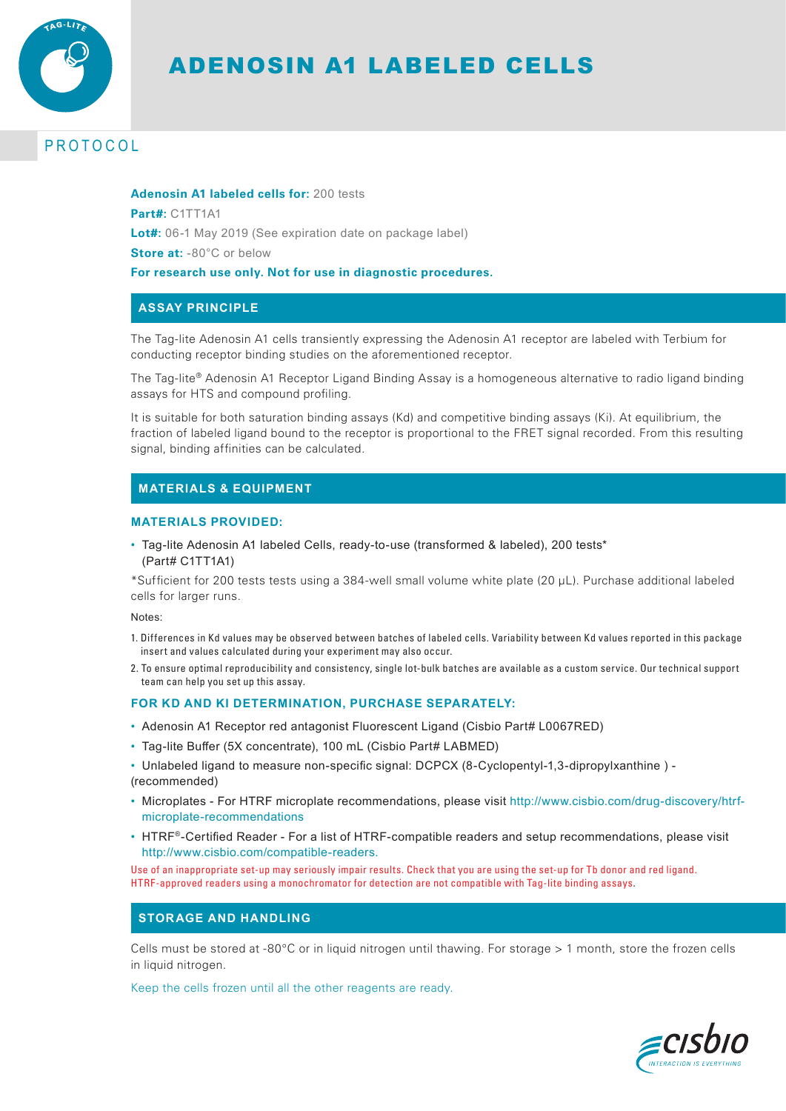

# ADENOSIN A1 LABELED CELLS

## PROTOCOL

**Adenosin A1 labeled cells for:** 200 tests **Part#:** C1TT1A1 **Lot#:** 06-1 May 2019 (See expiration date on package label) **Store at: -80°C or below For research use only. Not for use in diagnostic procedures.**

## **ASSAY PRINCIPLE**

The Tag-lite Adenosin A1 cells transiently expressing the Adenosin A1 receptor are labeled with Terbium for conducting receptor binding studies on the aforementioned receptor.

The Tag-lite® Adenosin A1 Receptor Ligand Binding Assay is a homogeneous alternative to radio ligand binding assays for HTS and compound profiling.

It is suitable for both saturation binding assays (Kd) and competitive binding assays (Ki). At equilibrium, the fraction of labeled ligand bound to the receptor is proportional to the FRET signal recorded. From this resulting signal, binding affinities can be calculated.

## **MATERIALS & EQUIPMENT**

#### **MATERIALS PROVIDED:**

• Tag-lite Adenosin A1 labeled Cells, ready-to-use (transformed & labeled), 200 tests\* (Part# C1TT1A1)

\*Sufficient for 200 tests tests using a 384-well small volume white plate (20 μL). Purchase additional labeled cells for larger runs.

Notes:

- 1. Differences in Kd values may be observed between batches of labeled cells. Variability between Kd values reported in this package insert and values calculated during your experiment may also occur.
- 2. To ensure optimal reproducibility and consistency, single lot-bulk batches are available as a custom service. Our technical support team can help you set up this assay.

#### **FOR KD AND KI DETERMINATION, PURCHASE SEPARATELY:**

- Adenosin A1 Receptor red antagonist Fluorescent Ligand (Cisbio Part# L0067RED)
- Tag-lite Buffer (5X concentrate), 100 mL (Cisbio Part# LABMED)
- Unlabeled ligand to measure non-specific signal: DCPCX (8-Cyclopentyl-1,3-dipropylxanthine ) (recommended)
- Microplates For HTRF microplate recommendations, please visit http://www.cisbio.com/drug-discovery/htrfmicroplate-recommendations
- HTRF®-Certified Reader For a list of HTRF-compatible readers and setup recommendations, please visit http://www.cisbio.com/compatible-readers.

Use of an inappropriate set-up may seriously impair results. Check that you are using the set-up for Tb donor and red ligand. HTRF-approved readers using a monochromator for detection are not compatible with Tag-lite binding assays.

## **STORAGE AND HANDLING**

Cells must be stored at -80°C or in liquid nitrogen until thawing. For storage > 1 month, store the frozen cells in liquid nitrogen.

Keep the cells frozen until all the other reagents are ready.

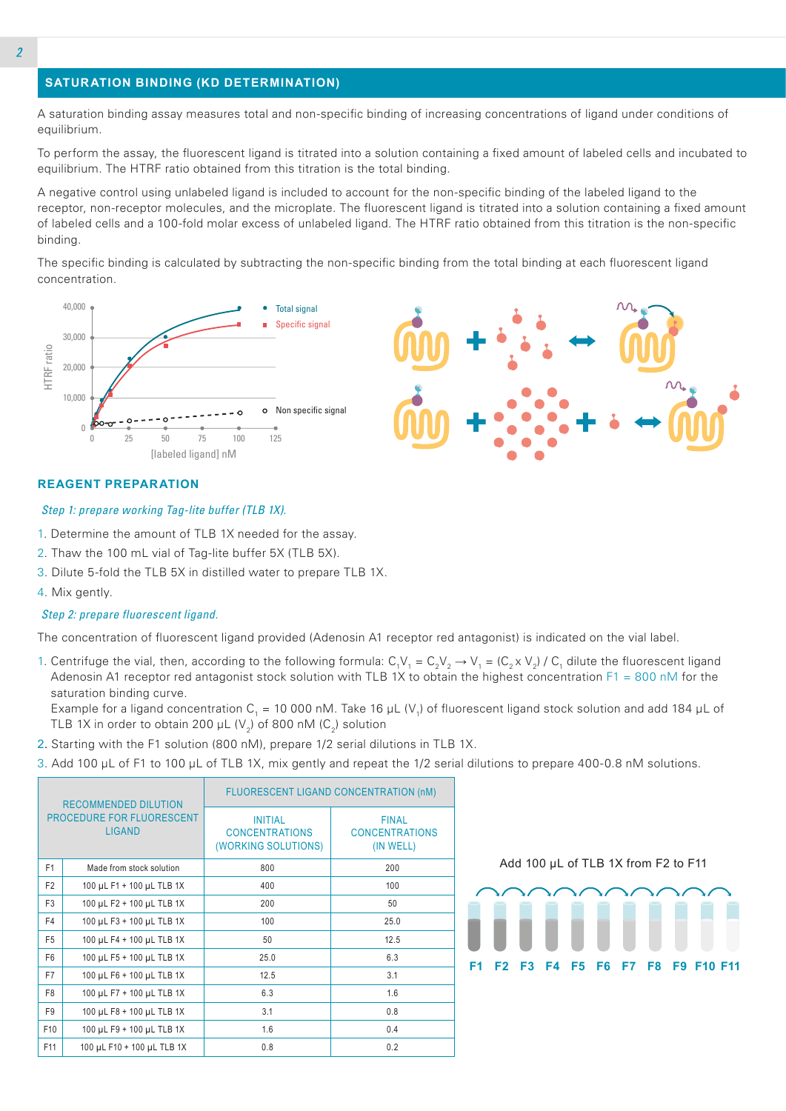## **SATURATION BINDING (KD DETERMINATION)**

A saturation binding assay measures total and non-specific binding of increasing concentrations of ligand under conditions of equilibrium.

To perform the assay, the fluorescent ligand is titrated into a solution containing a fixed amount of labeled cells and incubated to equilibrium. The HTRF ratio obtained from this titration is the total binding.

A negative control using unlabeled ligand is included to account for the non-specific binding of the labeled ligand to the receptor, non-receptor molecules, and the microplate. The fluorescent ligand is titrated into a solution containing a fixed amount of labeled cells and a 100-fold molar excess of unlabeled ligand. The HTRF ratio obtained from this titration is the non-specific binding.

The specific binding is calculated by subtracting the non-specific binding from the total binding at each fluorescent ligand concentration.



## **REAGENT PREPARATION**

#### *Step 1: prepare working Tag-lite buffer (TLB 1X).*

- 1. Determine the amount of TLB 1X needed for the assay.
- 2. Thaw the 100 mL vial of Tag-lite buffer 5X (TLB 5X).
- 3. Dilute 5-fold the TLB 5X in distilled water to prepare TLB 1X.
- 4. Mix gently.

#### *Step 2: prepare fluorescent ligand.*

The concentration of fluorescent ligand provided (Adenosin A1 receptor red antagonist) is indicated on the vial label.

1. Centrifuge the vial, then, according to the following formula:  $C_1V_1 = C_2V_2 \to V_1 = (C_2 \times V_2) / C_1$  dilute the fluorescent ligand Adenosin A1 receptor red antagonist stock solution with TLB 1X to obtain the highest concentration  $F1 = 800$  nM for the saturation binding curve.

Example for a ligand concentration C<sub>1</sub> = 10 000 nM. Take 16 µL (V<sub>1</sub>) of fluorescent ligand stock solution and add 184 µL of TLB 1X in order to obtain 200  $\mu$ L (V<sub>2</sub>) of 800 nM (C<sub>2</sub>) solution

- 2. Starting with the F1 solution (800 nM), prepare 1/2 serial dilutions in TLB 1X.
- 3. Add 100 µL of F1 to 100 µL of TLB 1X, mix gently and repeat the 1/2 serial dilutions to prepare 400-0.8 nM solutions.

|                                            | <b>RECOMMENDED DILUTION</b> | <b>FLUORESCENT LIGAND CONCENTRATION (nM)</b>                   |                                                    |  |
|--------------------------------------------|-----------------------------|----------------------------------------------------------------|----------------------------------------------------|--|
| PROCEDURE FOR FLUORESCENT<br><b>LIGAND</b> |                             | <b>INITIAL</b><br><b>CONCENTRATIONS</b><br>(WORKING SOLUTIONS) | <b>FINAL</b><br><b>CONCENTRATIONS</b><br>(IN WELL) |  |
| F <sub>1</sub>                             | Made from stock solution    | 800                                                            | 200                                                |  |
| F <sub>2</sub>                             | 100 µL F1 + 100 µL TLB 1X   | 400                                                            | 100                                                |  |
| F <sub>3</sub>                             | 100 µL F2 + 100 µL TLB 1X   | 200                                                            | 50                                                 |  |
| F4                                         | 100 µL F3 + 100 µL TLB 1X   | 100                                                            | 25.0                                               |  |
| F <sub>5</sub>                             | 100 µL F4 + 100 µL TLB 1X   | 50                                                             | 12.5                                               |  |
| F <sub>6</sub>                             | 100 µL F5 + 100 µL TLB 1X   | 25.0                                                           | 6.3                                                |  |
| F7                                         | 100 µL F6 + 100 µL TLB 1X   | 12.5                                                           | 3.1                                                |  |
| F <sub>8</sub>                             | 100 µL F7 + 100 µL TLB 1X   | 6.3                                                            | 1.6                                                |  |
| F <sub>9</sub>                             | 100 µL F8 + 100 µL TLB 1X   | 3.1                                                            | 0.8                                                |  |
| F <sub>10</sub>                            | 100 µL F9 + 100 µL TLB 1X   | 1.6                                                            | 0.4                                                |  |
| F11                                        | 100 µL F10 + 100 µL TLB 1X  | 0.8                                                            | 0.2                                                |  |

Add 100 µL of TLB 1X from F2 to F11

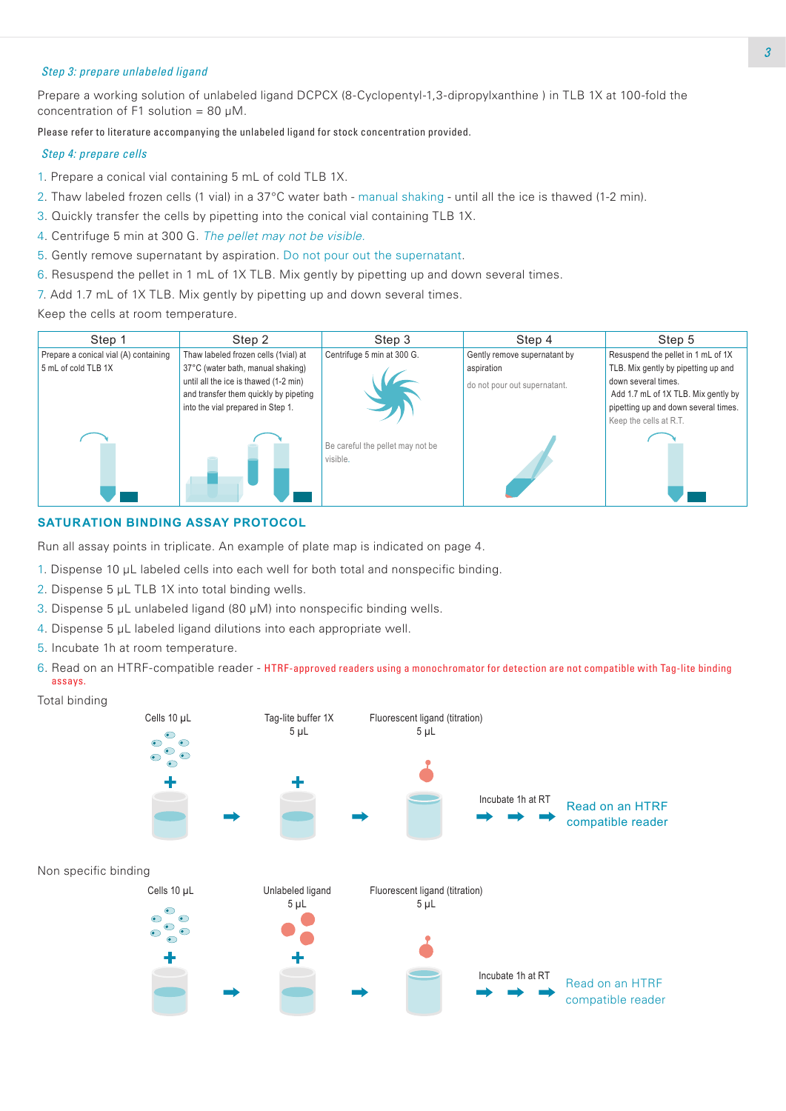## *Step 3: prepare unlabeled ligand*

Prepare a working solution of unlabeled ligand DCPCX (8-Cyclopentyl-1,3-dipropylxanthine ) in TLB 1X at 100-fold the concentration of F1 solution = 80 μM.

Please refer to literature accompanying the unlabeled ligand for stock concentration provided.

#### *Step 4: prepare cells*

- 1. Prepare a conical vial containing 5 mL of cold TLB 1X.
- 2. Thaw labeled frozen cells (1 vial) in a 37°C water bath manual shaking until all the ice is thawed (1-2 min).
- 3. Quickly transfer the cells by pipetting into the conical vial containing TLB 1X.
- 4. Centrifuge 5 min at 300 G. *The pellet may not be visible.*
- 5. Gently remove supernatant by aspiration. Do not pour out the supernatant.
- 6. Resuspend the pellet in 1 mL of 1X TLB. Mix gently by pipetting up and down several times.
- 7. Add 1.7 mL of 1X TLB. Mix gently by pipetting up and down several times.

Keep the cells at room temperature.



## **SATURATION BINDING ASSAY PROTOCOL**

Run all assay points in triplicate. An example of plate map is indicated on page 4.

- 1. Dispense 10 μL labeled cells into each well for both total and nonspecific binding.
- 2. Dispense 5 μL TLB 1X into total binding wells.
- 3. Dispense 5 μL unlabeled ligand (80 μM) into nonspecific binding wells.
- 4. Dispense 5 μL labeled ligand dilutions into each appropriate well.
- 5. Incubate 1h at room temperature.
- 6. Read on an HTRF-compatible reader HTRF-approved readers using a monochromator for detection are not compatible with Tag-lite binding assays.

Total binding

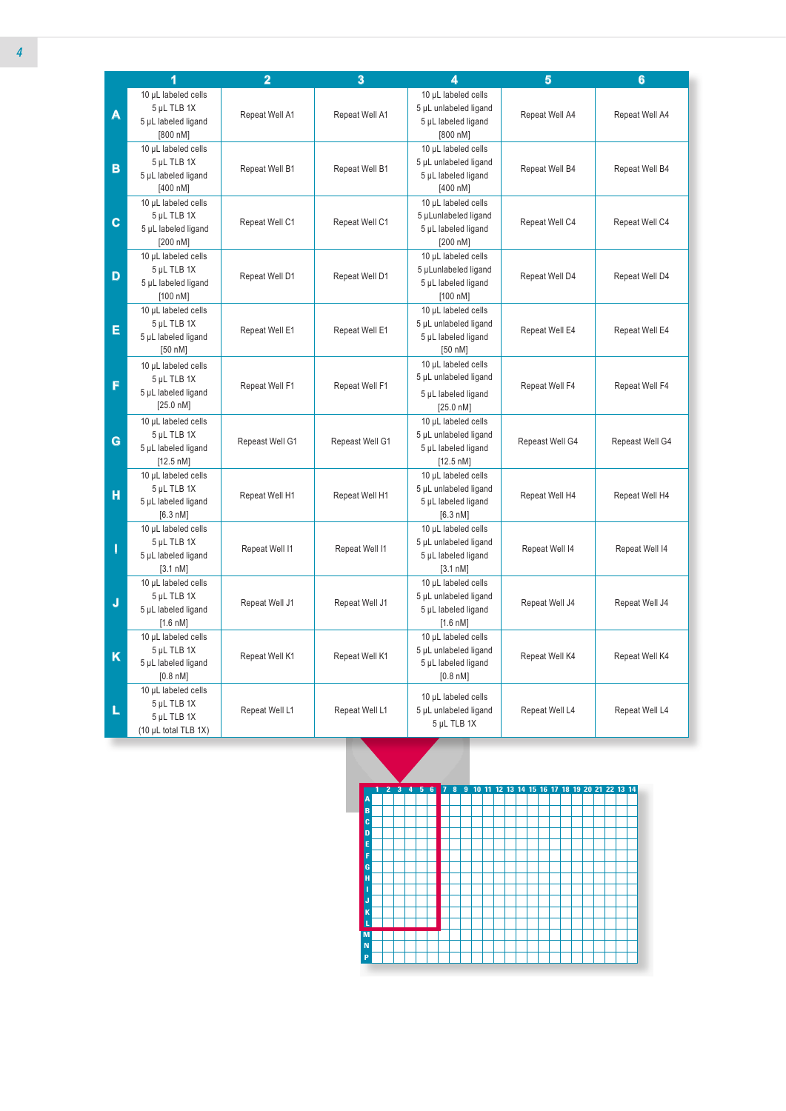|             | 1                                  | $\overline{2}$  | 3               | 4                     | $\overline{5}$  | $6\phantom{a}$  |
|-------------|------------------------------------|-----------------|-----------------|-----------------------|-----------------|-----------------|
|             | 10 µL labeled cells                |                 |                 | 10 µL labeled cells   |                 |                 |
|             | 5 µL TLB 1X                        |                 |                 | 5 µL unlabeled ligand |                 |                 |
| A           | 5 µL labeled ligand                | Repeat Well A1  | Repeat Well A1  | 5 µL labeled ligand   | Repeat Well A4  | Repeat Well A4  |
|             | [800 nM]                           |                 |                 | [800 nM]              |                 |                 |
|             | 10 µL labeled cells                |                 |                 | 10 µL labeled cells   |                 |                 |
|             | 5 µL TLB 1X                        |                 |                 | 5 µL unlabeled ligand |                 |                 |
| B           | 5 µL labeled ligand                | Repeat Well B1  | Repeat Well B1  | 5 µL labeled ligand   | Repeat Well B4  | Repeat Well B4  |
|             |                                    |                 |                 |                       |                 |                 |
|             | [400 nM]                           |                 |                 | [400 nM]              |                 |                 |
|             | 10 µL labeled cells                |                 |                 | 10 µL labeled cells   |                 |                 |
| $\mathbf c$ | 5 µL TLB 1X                        | Repeat Well C1  | Repeat Well C1  | 5 µLunlabeled ligand  | Repeat Well C4  | Repeat Well C4  |
|             | 5 µL labeled ligand                |                 |                 | 5 µL labeled ligand   |                 |                 |
|             | [200 nM]                           |                 |                 | [200 nM]              |                 |                 |
|             | 10 µL labeled cells                |                 |                 | 10 µL labeled cells   |                 |                 |
| D           | 5 µL TLB 1X                        | Repeat Well D1  | Repeat Well D1  | 5 µLunlabeled ligand  | Repeat Well D4  | Repeat Well D4  |
|             | 5 µL labeled ligand                |                 |                 | 5 µL labeled ligand   |                 |                 |
|             | [100 nM]                           |                 |                 | [100 nM]              |                 |                 |
|             | 10 µL labeled cells                |                 |                 | 10 µL labeled cells   |                 |                 |
| E           | 5 µL TLB 1X                        | Repeat Well E1  | Repeat Well E1  | 5 µL unlabeled ligand | Repeat Well E4  | Repeat Well E4  |
|             | 5 µL labeled ligand                |                 |                 | 5 µL labeled ligand   |                 |                 |
|             | [50 nM]                            |                 |                 | [50 nM]               |                 |                 |
|             | 10 µL labeled cells                |                 |                 | 10 µL labeled cells   |                 |                 |
|             | 5 µL TLB 1X                        |                 |                 | 5 µL unlabeled ligand |                 |                 |
| F           | 5 µL labeled ligand                | Repeat Well F1  | Repeat Well F1  | 5 µL labeled ligand   | Repeat Well F4  | Repeat Well F4  |
|             | [25.0 nM]                          |                 |                 | [25.0 nM]             |                 |                 |
|             | 10 µL labeled cells                |                 |                 | 10 µL labeled cells   |                 |                 |
|             | 5 µL TLB 1X                        |                 |                 | 5 µL unlabeled ligand |                 |                 |
| G           | 5 µL labeled ligand                | Repeast Well G1 | Repeast Well G1 | 5 µL labeled ligand   | Repeast Well G4 | Repeast Well G4 |
|             | [12.5 nM]                          |                 |                 | [12.5 nM]             |                 |                 |
|             | 10 µL labeled cells                |                 |                 | 10 µL labeled cells   |                 |                 |
|             | 5 µL TLB 1X                        |                 |                 | 5 µL unlabeled ligand |                 |                 |
| H           | 5 µL labeled ligand                | Repeat Well H1  | Repeat Well H1  | 5 µL labeled ligand   | Repeat Well H4  | Repeat Well H4  |
|             | [6.3 nM]                           |                 |                 | [6.3 nM]              |                 |                 |
|             |                                    |                 |                 |                       |                 |                 |
|             | 10 µL labeled cells<br>5 µL TLB 1X |                 |                 | 10 µL labeled cells   |                 |                 |
| П           |                                    | Repeat Well I1  | Repeat Well I1  | 5 µL unlabeled ligand | Repeat Well 14  | Repeat Well I4  |
|             | 5 µL labeled ligand                |                 |                 | 5 µL labeled ligand   |                 |                 |
|             | [3.1 nM]                           |                 |                 | [3.1 nM]              |                 |                 |
|             | 10 µL labeled cells                |                 |                 | 10 µL labeled cells   |                 |                 |
| J           | 5 µL TLB 1X                        | Repeat Well J1  | Repeat Well J1  | 5 µL unlabeled ligand | Repeat Well J4  | Repeat Well J4  |
|             | 5 µL labeled ligand                |                 |                 | 5 µL labeled ligand   |                 |                 |
|             | [1.6 nM]                           |                 |                 | [1.6 nM]              |                 |                 |
|             | 10 µL labeled cells                |                 |                 | 10 µL labeled cells   |                 |                 |
| K           | 5 µL TLB 1X                        | Repeat Well K1  | Repeat Well K1  | 5 µL unlabeled ligand | Repeat Well K4  | Repeat Well K4  |
|             | 5 µL labeled ligand                |                 |                 | 5 µL labeled ligand   |                 |                 |
|             | $[0.8 \text{ nM}]$                 |                 |                 | $[0.8 \text{ nM}]$    |                 |                 |
|             | 10 µL labeled cells                |                 |                 | 10 µL labeled cells   |                 |                 |
| L           | 5 µL TLB 1X                        | Repeat Well L1  | Repeat Well L1  | 5 µL unlabeled ligand | Repeat Well L4  | Repeat Well L4  |
|             | 5 µL TLB 1X                        |                 |                 | 5 µL TLB 1X           |                 |                 |
|             | (10 µL total TLB 1X)               |                 |                 |                       |                 |                 |

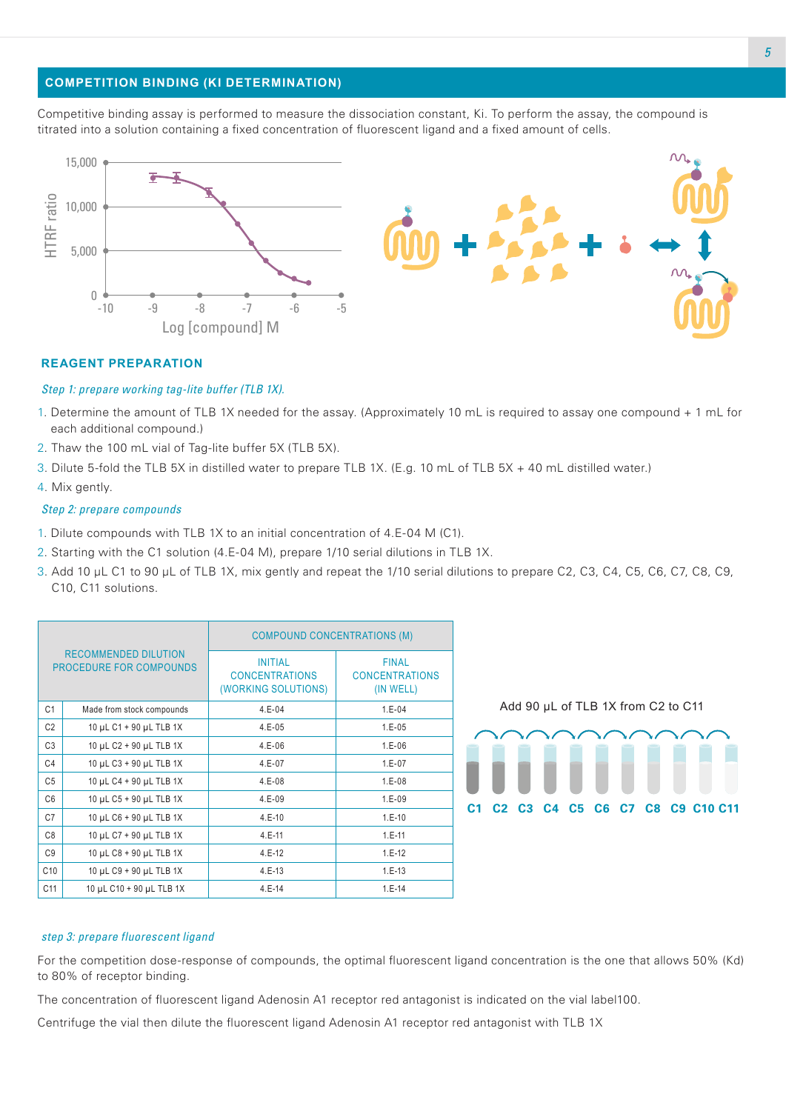## **COMPETITION BINDING (KI DETERMINATION)**

Competitive binding assay is performed to measure the dissociation constant, Ki. To perform the assay, the compound is titrated into a solution containing a fixed concentration of fluorescent ligand and a fixed amount of cells.



#### **REAGENT PREPARATION**

#### *Step 1: prepare working tag-lite buffer (TLB 1X).*

- 1. Determine the amount of TLB 1X needed for the assay. (Approximately 10 mL is required to assay one compound + 1 mL for each additional compound.)
- 2. Thaw the 100 mL vial of Tag-lite buffer 5X (TLB 5X).
- 3. Dilute 5-fold the TLB 5X in distilled water to prepare TLB 1X. (E.g. 10 mL of TLB 5X + 40 mL distilled water.)
- 4. Mix gently.

#### *Step 2: prepare compounds*

- 1. Dilute compounds with TLB 1X to an initial concentration of 4.E-04 M (C1).
- 2. Starting with the C1 solution (4.E-04 M), prepare 1/10 serial dilutions in TLB 1X.
- 3. Add 10 µL C1 to 90 µL of TLB 1X, mix gently and repeat the 1/10 serial dilutions to prepare C2, C3, C4, C5, C6, C7, C8, C9, C10, C11 solutions.

| <b>RECOMMENDED DILUTION</b><br><b>PROCEDURE FOR COMPOUNDS</b> |                           | <b>COMPOUND CONCENTRATIONS (M)</b>                             |                                                    |  |  |
|---------------------------------------------------------------|---------------------------|----------------------------------------------------------------|----------------------------------------------------|--|--|
|                                                               |                           | <b>INITIAL</b><br><b>CONCENTRATIONS</b><br>(WORKING SOLUTIONS) | <b>FINAL</b><br><b>CONCENTRATIONS</b><br>(IN WELL) |  |  |
| C <sub>1</sub>                                                | Made from stock compounds | $4.E-04$                                                       | $1.E-04$                                           |  |  |
| C <sub>2</sub>                                                | 10 µL C1 + 90 µL TLB 1X   | $4.E-05$                                                       | $1.E-05$                                           |  |  |
| C <sub>3</sub>                                                | 10 µL C2 + 90 µL TLB 1X   | $4.E-06$                                                       | $1.E-06$                                           |  |  |
| C <sub>4</sub>                                                | 10 µL C3 + 90 µL TLB 1X   | $4.E-07$                                                       | $1.E-07$                                           |  |  |
| C <sub>5</sub>                                                | 10 µL C4 + 90 µL TLB 1X   | $4.E-08$                                                       | $1.E-08$                                           |  |  |
| C6                                                            | 10 µL C5 + 90 µL TLB 1X   | $4.E-09$                                                       | $1.E-09$                                           |  |  |
| C <sub>7</sub>                                                | 10 µL C6 + 90 µL TLB 1X   | $4.E-10$                                                       | $1.E-10$                                           |  |  |
| C <sub>8</sub>                                                | 10 µL C7 + 90 µL TLB 1X   | $4.E-11$                                                       | $1.E-11$                                           |  |  |
| C <sub>9</sub>                                                | 10 µL C8 + 90 µL TLB 1X   | $4.E-12$                                                       | $1.E-12$                                           |  |  |
| C10                                                           | 10 µL C9 + 90 µL TLB 1X   | $4.E-13$                                                       | $1.E-13$                                           |  |  |
| C <sub>11</sub>                                               | 10 µL C10 + 90 µL TLB 1X  | $4.E-14$                                                       | $1.E-14$                                           |  |  |

Add 90 µL of TLB 1X from C2 to C11



#### *step 3: prepare fluorescent ligand*

For the competition dose-response of compounds, the optimal fluorescent ligand concentration is the one that allows 50% (Kd) to 80% of receptor binding.

The concentration of fluorescent ligand Adenosin A1 receptor red antagonist is indicated on the vial label100.

Centrifuge the vial then dilute the fluorescent ligand Adenosin A1 receptor red antagonist with TLB 1X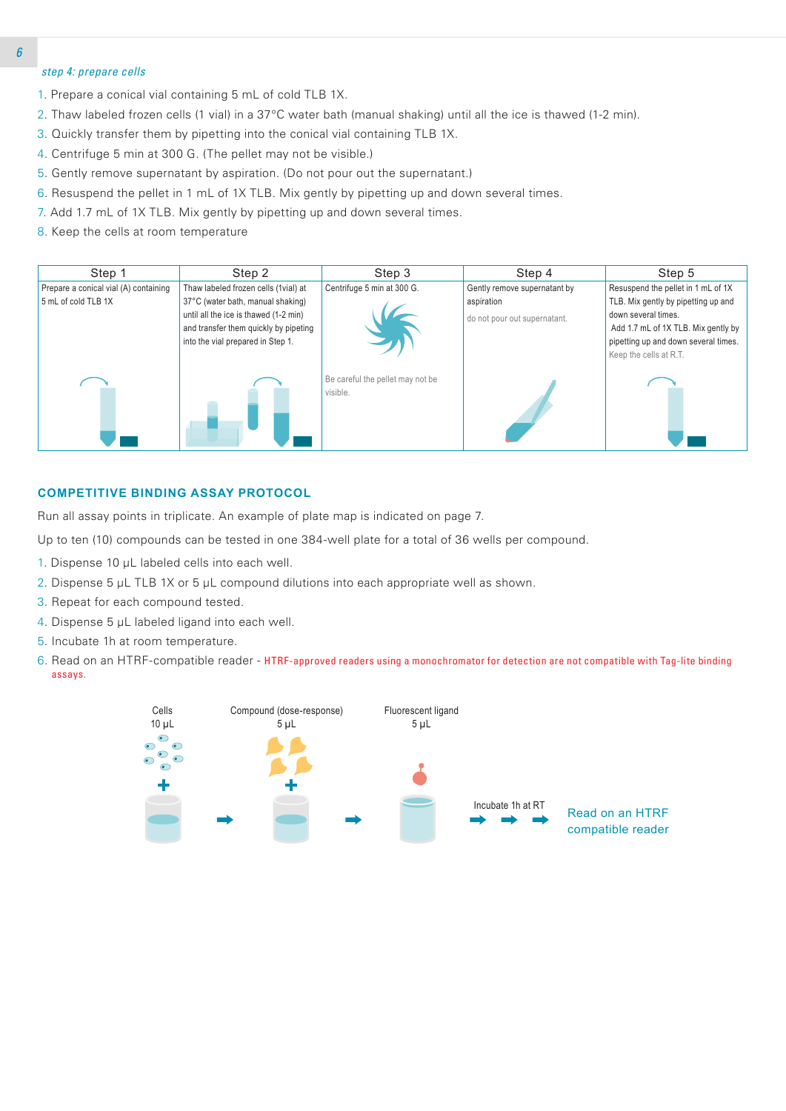## *step 4: prepare cells*

- 1. Prepare a conical vial containing 5 mL of cold TLB 1X.
- 2. Thaw labeled frozen cells (1 vial) in a 37°C water bath (manual shaking) until all the ice is thawed (1-2 min).
- 3. Quickly transfer them by pipetting into the conical vial containing TLB 1X.
- 4. Centrifuge 5 min at 300 G. (The pellet may not be visible.)
- 5. Gently remove supernatant by aspiration. (Do not pour out the supernatant.)
- 6. Resuspend the pellet in 1 mL of 1X TLB. Mix gently by pipetting up and down several times.
- 7. Add 1.7 mL of 1X TLB. Mix gently by pipetting up and down several times.
- 8. Keep the cells at room temperature

| Step 1                                | Step 2                                | Step 3                                       | Step 4                       | Step 5                                                         |
|---------------------------------------|---------------------------------------|----------------------------------------------|------------------------------|----------------------------------------------------------------|
| Prepare a conical vial (A) containing | Thaw labeled frozen cells (1vial) at  | Centrifuge 5 min at 300 G.                   | Gently remove supernatant by | Resuspend the pellet in 1 mL of 1X                             |
| 5 mL of cold TLB 1X                   | 37°C (water bath, manual shaking)     |                                              | aspiration                   | TLB. Mix gently by pipetting up and                            |
|                                       | until all the ice is thawed (1-2 min) |                                              | do not pour out supernatant. | down several times.                                            |
|                                       | and transfer them quickly by pipeting |                                              |                              | Add 1.7 mL of 1X TLB. Mix gently by                            |
|                                       | into the vial prepared in Step 1.     |                                              |                              | pipetting up and down several times.<br>Keep the cells at R.T. |
|                                       |                                       |                                              |                              |                                                                |
|                                       |                                       | Be careful the pellet may not be<br>visible. |                              |                                                                |
|                                       |                                       |                                              |                              |                                                                |
|                                       |                                       |                                              |                              |                                                                |
|                                       |                                       |                                              |                              |                                                                |
|                                       |                                       |                                              |                              |                                                                |

#### **COMPETITIVE BINDING ASSAY PROTOCOL**

Run all assay points in triplicate. An example of plate map is indicated on page 7.

Up to ten (10) compounds can be tested in one 384-well plate for a total of 36 wells per compound.

- 1. Dispense 10 μL labeled cells into each well.
- 2. Dispense 5 μL TLB 1X or 5 μL compound dilutions into each appropriate well as shown.
- 3. Repeat for each compound tested.
- 4. Dispense 5 μL labeled ligand into each well.
- 5. Incubate 1h at room temperature.
- 6. Read on an HTRF-compatible reader HTRF-approved readers using a monochromator for detection are not compatible with Tag-lite binding assays.

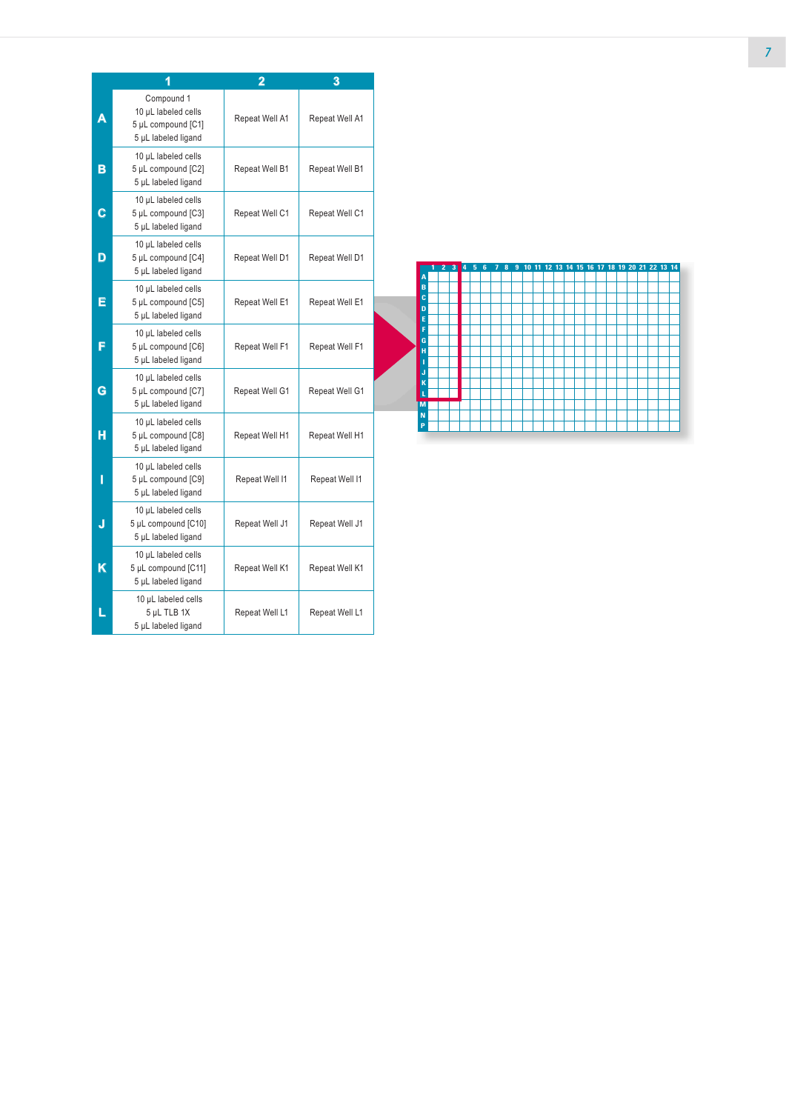|   | 1                                                                              | 2              | 3              |
|---|--------------------------------------------------------------------------------|----------------|----------------|
|   | Compound 1<br>10 µL labeled cells<br>5 µL compound [C1]<br>5 µL labeled ligand | Repeat Well A1 | Repeat Well A1 |
| в | 10 µL labeled cells<br>5 µL compound [C2]<br>5 µL labeled ligand               | Repeat Well B1 | Repeat Well B1 |
| С | 10 µL labeled cells<br>5 µL compound [C3]<br>5 µL labeled ligand               | Repeat Well C1 | Repeat Well C1 |
| D | 10 µL labeled cells<br>5 µL compound [C4]<br>5 µL labeled ligand               | Repeat Well D1 | Repeat Well D1 |
| E | 10 µL labeled cells<br>5 µL compound [C5]<br>5 µL labeled ligand               | Repeat Well E1 | Repeat Well E1 |
| F | 10 µL labeled cells<br>5 µL compound [C6]<br>5 µL labeled ligand               | Repeat Well F1 | Repeat Well F1 |
| G | 10 µL labeled cells<br>5 µL compound [C7]<br>5 µL labeled ligand               | Repeat Well G1 | Repeat Well G1 |
| н | 10 µL labeled cells<br>5 µL compound [C8]<br>5 µL labeled ligand               | Repeat Well H1 | Repeat Well H1 |
| I | 10 µL labeled cells<br>5 µL compound [C9]<br>5 µL labeled ligand               | Repeat Well I1 | Repeat Well I1 |
| J | 10 µL labeled cells<br>5 µL compound [C10]<br>5 µL labeled ligand              | Repeat Well J1 | Repeat Well J1 |
| Κ | 10 µL labeled cells<br>5 µL compound [C11]<br>5 µL labeled ligand              | Repeat Well K1 | Repeat Well K1 |
|   | 10 µL labeled cells<br>5 µL TLB 1X<br>5 µL labeled ligand                      | Repeat Well L1 | Repeat Well L1 |